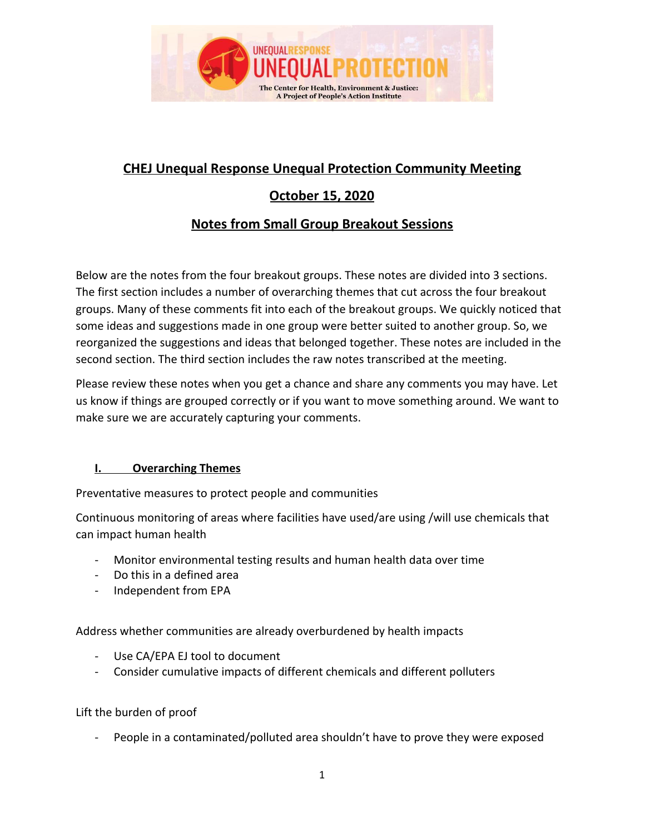

# **CHEJ Unequal Response Unequal Protection Community Meeting**

# **October 15, 2020**

# **Notes from Small Group Breakout Sessions**

Below are the notes from the four breakout groups. These notes are divided into 3 sections. The first section includes a number of overarching themes that cut across the four breakout groups. Many of these comments fit into each of the breakout groups. We quickly noticed that some ideas and suggestions made in one group were better suited to another group. So, we reorganized the suggestions and ideas that belonged together. These notes are included in the second section. The third section includes the raw notes transcribed at the meeting.

Please review these notes when you get a chance and share any comments you may have. Let us know if things are grouped correctly or if you want to move something around. We want to make sure we are accurately capturing your comments.

# **I. Overarching Themes**

Preventative measures to protect people and communities

Continuous monitoring of areas where facilities have used/are using /will use chemicals that can impact human health

- Monitor environmental testing results and human health data over time
- Do this in a defined area
- Independent from EPA

Address whether communities are already overburdened by health impacts

- Use CA/EPA EJ tool to document
- Consider cumulative impacts of different chemicals and different polluters

Lift the burden of proof

People in a contaminated/polluted area shouldn't have to prove they were exposed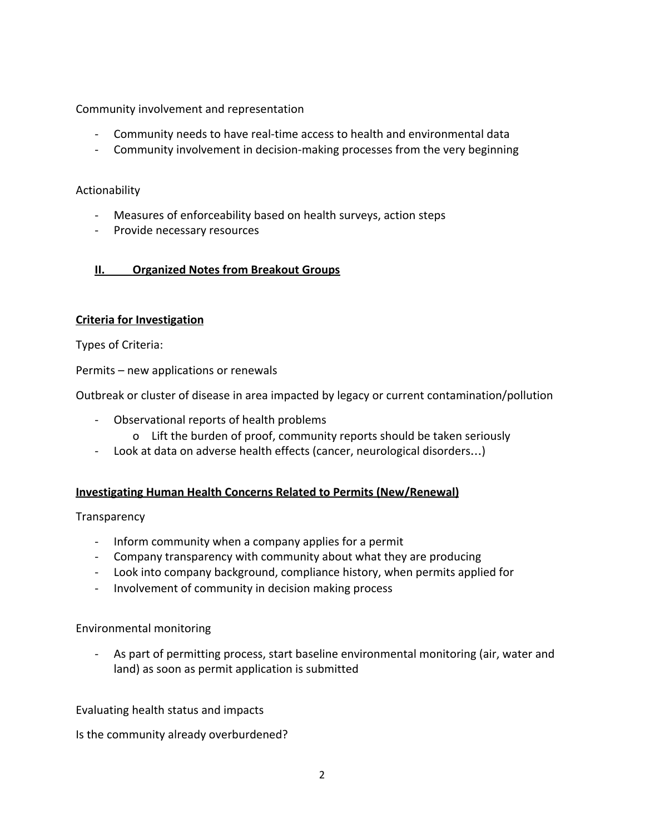Community involvement and representation

- Community needs to have real-time access to health and environmental data
- Community involvement in decision-making processes from the very beginning

#### Actionability

- Measures of enforceability based on health surveys, action steps
- Provide necessary resources

#### **II. Organized Notes from Breakout Groups**

#### **Criteria for Investigation**

Types of Criteria:

Permits – new applications or renewals

Outbreak or cluster of disease in area impacted by legacy or current contamination/pollution

- Observational reports of health problems
	- o Lift the burden of proof, community reports should be taken seriously
- Look at data on adverse health effects (cancer, neurological disorders…)

#### **Investigating Human Health Concerns Related to Permits (New/Renewal)**

#### **Transparency**

- Inform community when a company applies for a permit
- Company transparency with community about what they are producing
- Look into company background, compliance history, when permits applied for
- Involvement of community in decision making process

#### Environmental monitoring

- As part of permitting process, start baseline environmental monitoring (air, water and land) as soon as permit application is submitted

#### Evaluating health status and impacts

Is the community already overburdened?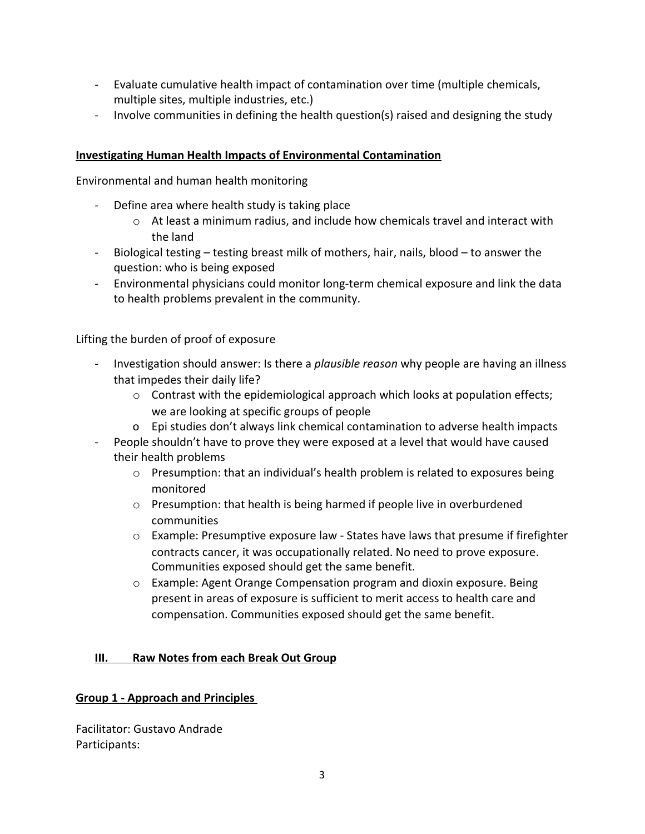- Evaluate cumulative health impact of contamination over time (multiple chemicals, multiple sites, multiple industries, etc.)
- Involve communities in defining the health question(s) raised and designing the study

#### **Investigating Human Health Impacts of Environmental Contamination**

Environmental and human health monitoring

- Define area where health study is taking place
	- $\circ$  At least a minimum radius, and include how chemicals travel and interact with the land
- Biological testing testing breast milk of mothers, hair, nails, blood to answer the question: who is being exposed
- Environmental physicians could monitor long-term chemical exposure and link the data to health problems prevalent in the community.

Lifting the burden of proof of exposure

- Investigation should answer: Is there a *plausible reason* why people are having an illness that impedes their daily life?
	- $\circ$  Contrast with the epidemiological approach which looks at population effects; we are looking at specific groups of people
	- o Epi studies don't always link chemical contamination to adverse health impacts
- People shouldn't have to prove they were exposed at a level that would have caused their health problems
	- $\circ$  Presumption: that an individual's health problem is related to exposures being monitored
	- o Presumption: that health is being harmed if people live in overburdened communities
	- $\circ$  Example: Presumptive exposure law States have laws that presume if firefighter contracts cancer, it was occupationally related. No need to prove exposure. Communities exposed should get the same benefit.
	- $\circ$  Example: Agent Orange Compensation program and dioxin exposure. Being present in areas of exposure is sufficient to merit access to health care and compensation. Communities exposed should get the same benefit.

# **III. Raw Notes from each Break Out Group**

# **Group 1 - Approach and Principles**

Facilitator: Gustavo Andrade Participants: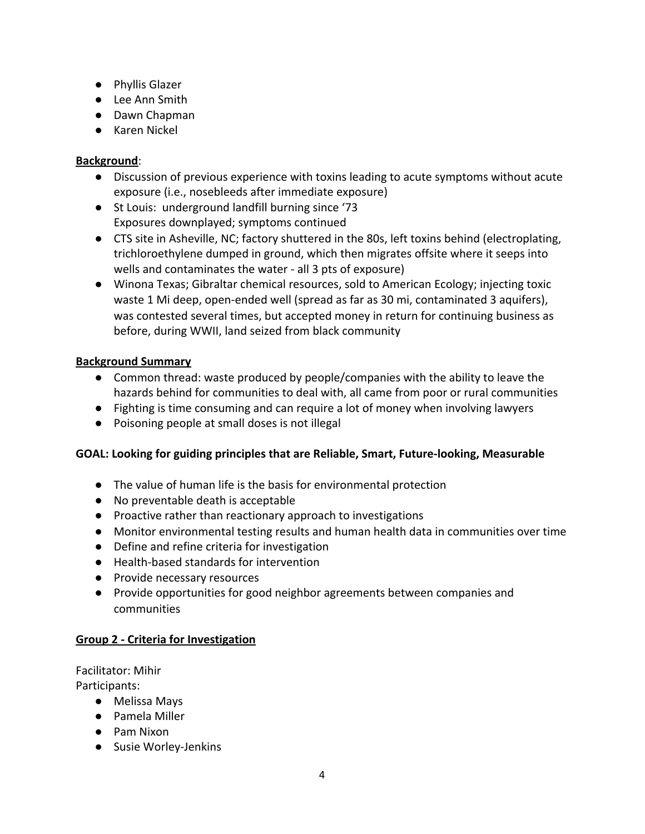- Phyllis Glazer
- Lee Ann Smith
- Dawn Chapman
- Karen Nickel

# **Background**:

- Discussion of previous experience with toxins leading to acute symptoms without acute exposure (i.e., nosebleeds after immediate exposure)
- St Louis: underground landfill burning since '73 Exposures downplayed; symptoms continued
- CTS site in Asheville, NC; factory shuttered in the 80s, left toxins behind (electroplating, trichloroethylene dumped in ground, which then migrates offsite where it seeps into wells and contaminates the water - all 3 pts of exposure)
- Winona Texas; Gibraltar chemical resources, sold to American Ecology; injecting toxic waste 1 Mi deep, open-ended well (spread as far as 30 mi, contaminated 3 aquifers), was contested several times, but accepted money in return for continuing business as before, during WWII, land seized from black community

# **Background Summary**

- Common thread: waste produced by people/companies with the ability to leave the hazards behind for communities to deal with, all came from poor or rural communities
- Fighting is time consuming and can require a lot of money when involving lawyers
- Poisoning people at small doses is not illegal

#### **GOAL: Looking for guiding principles that are Reliable, Smart, Future-looking, Measurable**

- The value of human life is the basis for environmental protection
- No preventable death is acceptable
- Proactive rather than reactionary approach to investigations
- Monitor environmental testing results and human health data in communities over time
- Define and refine criteria for investigation
- Health-based standards for intervention
- Provide necessary resources
- Provide opportunities for good neighbor agreements between companies and communities

# **Group 2 - Criteria for Investigation**

Facilitator: Mihir Participants:

- Melissa Mays
- Pamela Miller
- Pam Nixon
- Susie Worley-Jenkins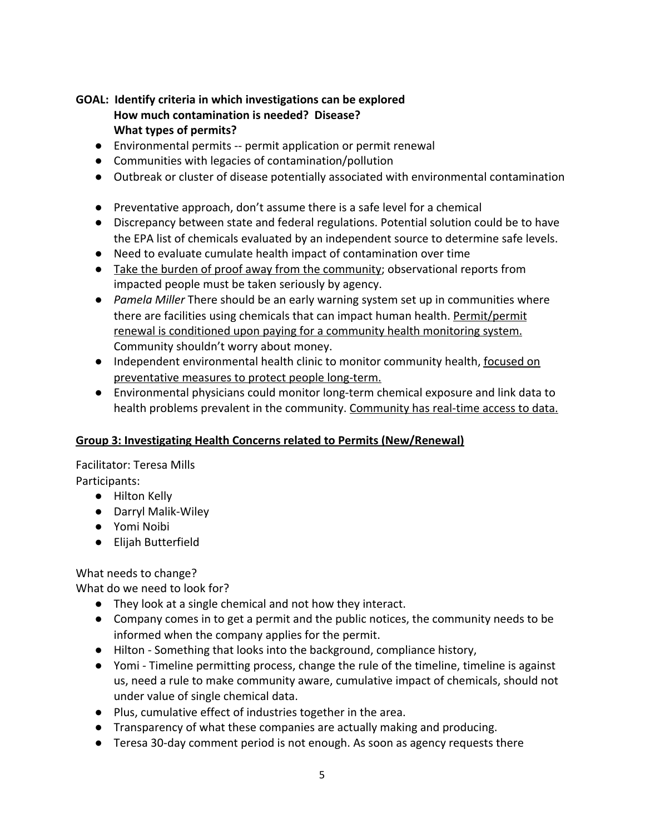# **GOAL: Identify criteria in which investigations can be explored How much contamination is needed? Disease? What types of permits?**

- Environmental permits -- permit application or permit renewal
- Communities with legacies of contamination/pollution
- Outbreak or cluster of disease potentially associated with environmental contamination
- Preventative approach, don't assume there is a safe level for a chemical
- Discrepancy between state and federal regulations. Potential solution could be to have the EPA list of chemicals evaluated by an independent source to determine safe levels.
- Need to evaluate cumulate health impact of contamination over time
- Take the burden of proof away from the community; observational reports from impacted people must be taken seriously by agency.
- *● Pamela Miller* There should be an early warning system set up in communities where there are facilities using chemicals that can impact human health. Permit/permit renewal is conditioned upon paying for a community health monitoring system. Community shouldn't worry about money.
- Independent environmental health clinic to monitor community health, focused on preventative measures to protect people long-term.
- Environmental physicians could monitor long-term chemical exposure and link data to health problems prevalent in the community. Community has real-time access to data.

# **Group 3: Investigating Health Concerns related to Permits (New/Renewal)**

Facilitator: Teresa Mills Participants:

- Hilton Kelly
- Darryl Malik-Wiley
- Yomi Noibi
- Elijah Butterfield

What needs to change?

What do we need to look for?

- They look at a single chemical and not how they interact.
- Company comes in to get a permit and the public notices, the community needs to be informed when the company applies for the permit.
- Hilton Something that looks into the background, compliance history,
- Yomi Timeline permitting process, change the rule of the timeline, timeline is against us, need a rule to make community aware, cumulative impact of chemicals, should not under value of single chemical data.
- Plus, cumulative effect of industries together in the area.
- Transparency of what these companies are actually making and producing.
- Teresa 30-day comment period is not enough. As soon as agency requests there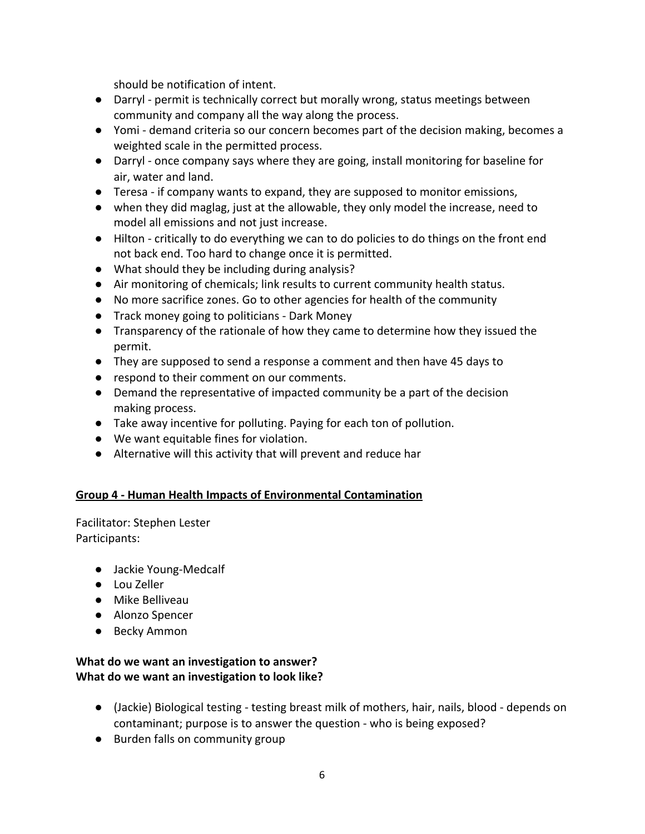should be notification of intent.

- Darryl permit is technically correct but morally wrong, status meetings between community and company all the way along the process.
- Yomi demand criteria so our concern becomes part of the decision making, becomes a weighted scale in the permitted process.
- Darryl once company says where they are going, install monitoring for baseline for air, water and land.
- Teresa if company wants to expand, they are supposed to monitor emissions,
- when they did maglag, just at the allowable, they only model the increase, need to model all emissions and not just increase.
- Hilton critically to do everything we can to do policies to do things on the front end not back end. Too hard to change once it is permitted.
- What should they be including during analysis?
- Air monitoring of chemicals; link results to current community health status.
- No more sacrifice zones. Go to other agencies for health of the community
- Track money going to politicians Dark Money
- Transparency of the rationale of how they came to determine how they issued the permit.
- They are supposed to send a response a comment and then have 45 days to
- respond to their comment on our comments.
- Demand the representative of impacted community be a part of the decision making process.
- Take away incentive for polluting. Paying for each ton of pollution.
- We want equitable fines for violation.
- Alternative will this activity that will prevent and reduce har

# **Group 4 - Human Health Impacts of Environmental Contamination**

Facilitator: Stephen Lester Participants:

- Jackie Young-Medcalf
- Lou Zeller
- Mike Belliveau
- Alonzo Spencer
- Becky Ammon

# **What do we want an investigation to answer? What do we want an investigation to look like?**

- (Jackie) Biological testing testing breast milk of mothers, hair, nails, blood depends on contaminant; purpose is to answer the question - who is being exposed?
- Burden falls on community group